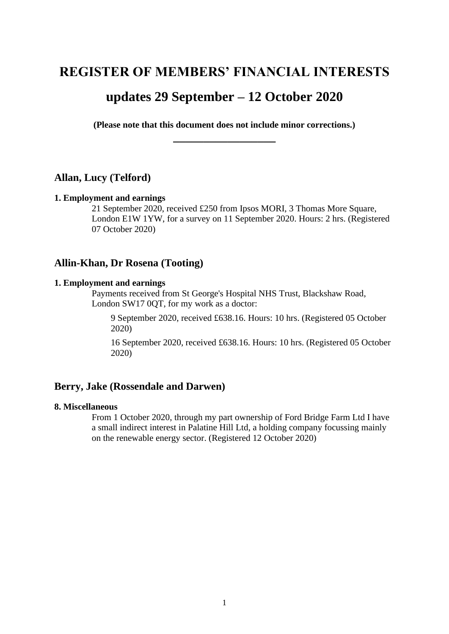# **REGISTER OF MEMBERS' FINANCIAL INTERESTS**

# **updates 29 September – 12 October 2020**

**(Please note that this document does not include minor corrections.) \_\_\_\_\_\_\_\_\_\_\_\_\_\_\_\_\_**

# **Allan, Lucy (Telford)**

#### **1. Employment and earnings**

21 September 2020, received £250 from Ipsos MORI, 3 Thomas More Square, London E1W 1YW, for a survey on 11 September 2020. Hours: 2 hrs. (Registered 07 October 2020)

# **Allin-Khan, Dr Rosena (Tooting)**

#### **1. Employment and earnings**

Payments received from St George's Hospital NHS Trust, Blackshaw Road, London SW17 0QT, for my work as a doctor:

9 September 2020, received £638.16. Hours: 10 hrs. (Registered 05 October 2020)

16 September 2020, received £638.16. Hours: 10 hrs. (Registered 05 October 2020)

# **Berry, Jake (Rossendale and Darwen)**

#### **8. Miscellaneous**

From 1 October 2020, through my part ownership of Ford Bridge Farm Ltd I have a small indirect interest in Palatine Hill Ltd, a holding company focussing mainly on the renewable energy sector. (Registered 12 October 2020)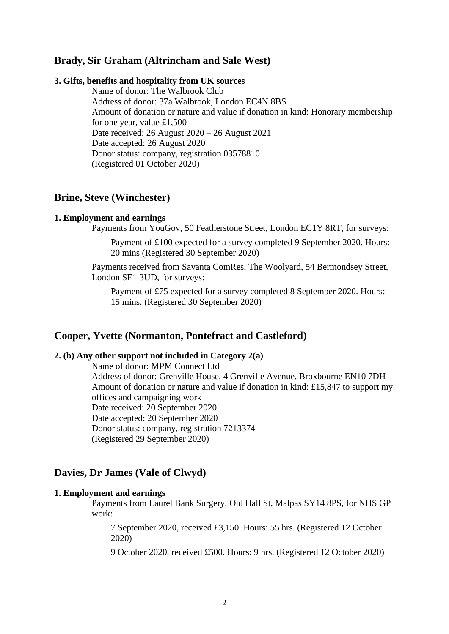# **Brady, Sir Graham (Altrincham and Sale West)**

#### **3. Gifts, benefits and hospitality from UK sources**

Name of donor: The Walbrook Club Address of donor: 37a Walbrook, London EC4N 8BS Amount of donation or nature and value if donation in kind: Honorary membership for one year, value £1,500 Date received: 26 August 2020 – 26 August 2021 Date accepted: 26 August 2020 Donor status: company, registration 03578810 (Registered 01 October 2020)

### **Brine, Steve (Winchester)**

#### **1. Employment and earnings**

Payments from YouGov, 50 Featherstone Street, London EC1Y 8RT, for surveys:

Payment of £100 expected for a survey completed 9 September 2020. Hours: 20 mins (Registered 30 September 2020)

Payments received from Savanta ComRes, The Woolyard, 54 Bermondsey Street, London SE1 3UD, for surveys:

Payment of £75 expected for a survey completed 8 September 2020. Hours: 15 mins. (Registered 30 September 2020)

## **Cooper, Yvette (Normanton, Pontefract and Castleford)**

#### **2. (b) Any other support not included in Category 2(a)**

Name of donor: MPM Connect Ltd Address of donor: Grenville House, 4 Grenville Avenue, Broxbourne EN10 7DH Amount of donation or nature and value if donation in kind: £15,847 to support my offices and campaigning work Date received: 20 September 2020 Date accepted: 20 September 2020 Donor status: company, registration 7213374 (Registered 29 September 2020)

## **Davies, Dr James (Vale of Clwyd)**

#### **1. Employment and earnings**

Payments from Laurel Bank Surgery, Old Hall St, Malpas SY14 8PS, for NHS GP work:

7 September 2020, received £3,150. Hours: 55 hrs. (Registered 12 October 2020)

9 October 2020, received £500. Hours: 9 hrs. (Registered 12 October 2020)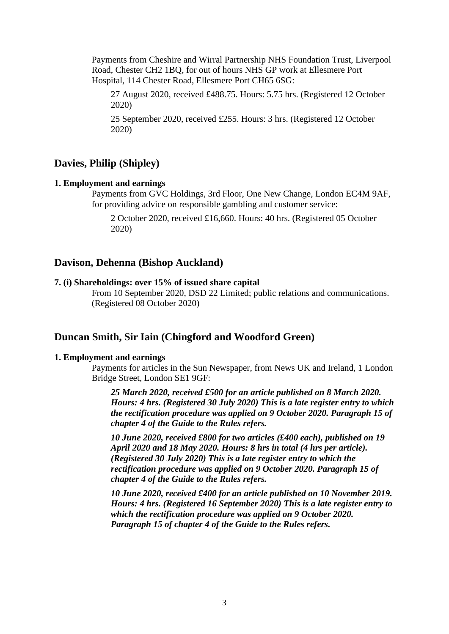Payments from Cheshire and Wirral Partnership NHS Foundation Trust, Liverpool Road, Chester CH2 1BQ, for out of hours NHS GP work at Ellesmere Port Hospital, 114 Chester Road, Ellesmere Port CH65 6SG:

27 August 2020, received £488.75. Hours: 5.75 hrs. (Registered 12 October 2020)

25 September 2020, received £255. Hours: 3 hrs. (Registered 12 October 2020)

# **Davies, Philip (Shipley)**

#### **1. Employment and earnings**

Payments from GVC Holdings, 3rd Floor, One New Change, London EC4M 9AF, for providing advice on responsible gambling and customer service:

2 October 2020, received £16,660. Hours: 40 hrs. (Registered 05 October 2020)

## **Davison, Dehenna (Bishop Auckland)**

#### **7. (i) Shareholdings: over 15% of issued share capital**

From 10 September 2020, DSD 22 Limited; public relations and communications. (Registered 08 October 2020)

#### **Duncan Smith, Sir Iain (Chingford and Woodford Green)**

#### **1. Employment and earnings**

Payments for articles in the Sun Newspaper, from News UK and Ireland, 1 London Bridge Street, London SE1 9GF:

*25 March 2020, received £500 for an article published on 8 March 2020. Hours: 4 hrs. (Registered 30 July 2020) This is a late register entry to which the rectification procedure was applied on 9 October 2020. Paragraph 15 of chapter 4 of the Guide to the Rules refers.*

*10 June 2020, received £800 for two articles (£400 each), published on 19 April 2020 and 18 May 2020. Hours: 8 hrs in total (4 hrs per article). (Registered 30 July 2020) This is a late register entry to which the rectification procedure was applied on 9 October 2020. Paragraph 15 of chapter 4 of the Guide to the Rules refers.*

*10 June 2020, received £400 for an article published on 10 November 2019. Hours: 4 hrs. (Registered 16 September 2020) This is a late register entry to which the rectification procedure was applied on 9 October 2020. Paragraph 15 of chapter 4 of the Guide to the Rules refers.*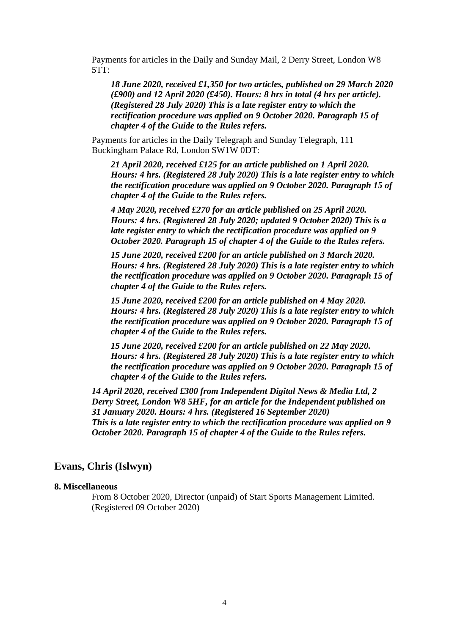Payments for articles in the Daily and Sunday Mail, 2 Derry Street, London W8  $5TT$ :

*18 June 2020, received £1,350 for two articles, published on 29 March 2020 (£900) and 12 April 2020 (£450). Hours: 8 hrs in total (4 hrs per article). (Registered 28 July 2020) This is a late register entry to which the rectification procedure was applied on 9 October 2020. Paragraph 15 of chapter 4 of the Guide to the Rules refers.*

Payments for articles in the Daily Telegraph and Sunday Telegraph, 111 Buckingham Palace Rd, London SW1W 0DT:

*21 April 2020, received £125 for an article published on 1 April 2020. Hours: 4 hrs. (Registered 28 July 2020) This is a late register entry to which the rectification procedure was applied on 9 October 2020. Paragraph 15 of chapter 4 of the Guide to the Rules refers.*

*4 May 2020, received £270 for an article published on 25 April 2020. Hours: 4 hrs. (Registered 28 July 2020; updated 9 October 2020) This is a late register entry to which the rectification procedure was applied on 9 October 2020. Paragraph 15 of chapter 4 of the Guide to the Rules refers.*

*15 June 2020, received £200 for an article published on 3 March 2020. Hours: 4 hrs. (Registered 28 July 2020) This is a late register entry to which the rectification procedure was applied on 9 October 2020. Paragraph 15 of chapter 4 of the Guide to the Rules refers.*

*15 June 2020, received £200 for an article published on 4 May 2020. Hours: 4 hrs. (Registered 28 July 2020) This is a late register entry to which the rectification procedure was applied on 9 October 2020. Paragraph 15 of chapter 4 of the Guide to the Rules refers.*

*15 June 2020, received £200 for an article published on 22 May 2020. Hours: 4 hrs. (Registered 28 July 2020) This is a late register entry to which the rectification procedure was applied on 9 October 2020. Paragraph 15 of chapter 4 of the Guide to the Rules refers.*

*14 April 2020, received £300 from Independent Digital News & Media Ltd, 2 Derry Street, London W8 5HF, for an article for the Independent published on 31 January 2020. Hours: 4 hrs. (Registered 16 September 2020) This is a late register entry to which the rectification procedure was applied on 9 October 2020. Paragraph 15 of chapter 4 of the Guide to the Rules refers.*

# **Evans, Chris (Islwyn)**

#### **8. Miscellaneous**

From 8 October 2020, Director (unpaid) of Start Sports Management Limited. (Registered 09 October 2020)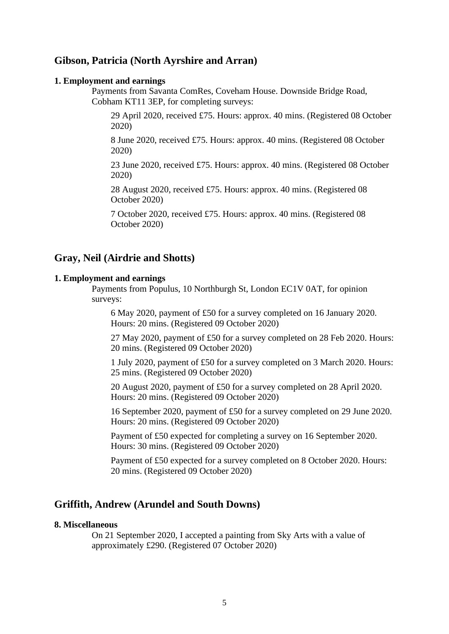# **Gibson, Patricia (North Ayrshire and Arran)**

#### **1. Employment and earnings**

Payments from Savanta ComRes, Coveham House. Downside Bridge Road, Cobham KT11 3EP, for completing surveys:

29 April 2020, received £75. Hours: approx. 40 mins. (Registered 08 October 2020)

8 June 2020, received £75. Hours: approx. 40 mins. (Registered 08 October 2020)

23 June 2020, received £75. Hours: approx. 40 mins. (Registered 08 October 2020)

28 August 2020, received £75. Hours: approx. 40 mins. (Registered 08 October 2020)

7 October 2020, received £75. Hours: approx. 40 mins. (Registered 08 October 2020)

# **Gray, Neil (Airdrie and Shotts)**

### **1. Employment and earnings**

Payments from Populus, 10 Northburgh St, London EC1V 0AT, for opinion surveys:

6 May 2020, payment of £50 for a survey completed on 16 January 2020. Hours: 20 mins. (Registered 09 October 2020)

27 May 2020, payment of £50 for a survey completed on 28 Feb 2020. Hours: 20 mins. (Registered 09 October 2020)

1 July 2020, payment of £50 for a survey completed on 3 March 2020. Hours: 25 mins. (Registered 09 October 2020)

20 August 2020, payment of £50 for a survey completed on 28 April 2020. Hours: 20 mins. (Registered 09 October 2020)

16 September 2020, payment of £50 for a survey completed on 29 June 2020. Hours: 20 mins. (Registered 09 October 2020)

Payment of £50 expected for completing a survey on 16 September 2020. Hours: 30 mins. (Registered 09 October 2020)

Payment of £50 expected for a survey completed on 8 October 2020. Hours: 20 mins. (Registered 09 October 2020)

# **Griffith, Andrew (Arundel and South Downs)**

## **8. Miscellaneous**

On 21 September 2020, I accepted a painting from Sky Arts with a value of approximately £290. (Registered 07 October 2020)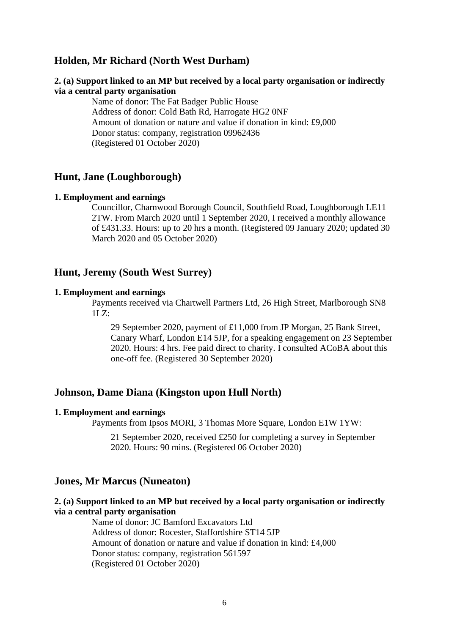# **Holden, Mr Richard (North West Durham)**

### **2. (a) Support linked to an MP but received by a local party organisation or indirectly via a central party organisation**

Name of donor: The Fat Badger Public House Address of donor: Cold Bath Rd, Harrogate HG2 0NF Amount of donation or nature and value if donation in kind: £9,000 Donor status: company, registration 09962436 (Registered 01 October 2020)

## **Hunt, Jane (Loughborough)**

#### **1. Employment and earnings**

Councillor, Charnwood Borough Council, Southfield Road, Loughborough LE11 2TW. From March 2020 until 1 September 2020, I received a monthly allowance of £431.33. Hours: up to 20 hrs a month. (Registered 09 January 2020; updated 30 March 2020 and 05 October 2020)

## **Hunt, Jeremy (South West Surrey)**

# **1. Employment and earnings**

Payments received via Chartwell Partners Ltd, 26 High Street, Marlborough SN8  $1LZ$ :

29 September 2020, payment of £11,000 from JP Morgan, 25 Bank Street, Canary Wharf, London E14 5JP, for a speaking engagement on 23 September 2020. Hours: 4 hrs. Fee paid direct to charity. I consulted ACoBA about this one-off fee. (Registered 30 September 2020)

# **Johnson, Dame Diana (Kingston upon Hull North)**

#### **1. Employment and earnings**

Payments from Ipsos MORI, 3 Thomas More Square, London E1W 1YW:

21 September 2020, received £250 for completing a survey in September 2020. Hours: 90 mins. (Registered 06 October 2020)

### **Jones, Mr Marcus (Nuneaton)**

# **2. (a) Support linked to an MP but received by a local party organisation or indirectly via a central party organisation**

Name of donor: JC Bamford Excavators Ltd Address of donor: Rocester, Staffordshire ST14 5JP Amount of donation or nature and value if donation in kind: £4,000 Donor status: company, registration 561597 (Registered 01 October 2020)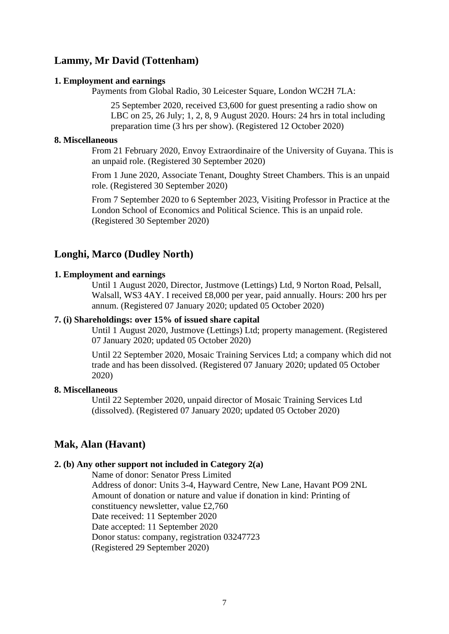# **Lammy, Mr David (Tottenham)**

#### **1. Employment and earnings**

Payments from Global Radio, 30 Leicester Square, London WC2H 7LA:

25 September 2020, received £3,600 for guest presenting a radio show on LBC on 25, 26 July; 1, 2, 8, 9 August 2020. Hours: 24 hrs in total including preparation time (3 hrs per show). (Registered 12 October 2020)

#### **8. Miscellaneous**

From 21 February 2020, Envoy Extraordinaire of the University of Guyana. This is an unpaid role. (Registered 30 September 2020)

From 1 June 2020, Associate Tenant, Doughty Street Chambers. This is an unpaid role. (Registered 30 September 2020)

From 7 September 2020 to 6 September 2023, Visiting Professor in Practice at the London School of Economics and Political Science. This is an unpaid role. (Registered 30 September 2020)

# **Longhi, Marco (Dudley North)**

#### **1. Employment and earnings**

Until 1 August 2020, Director, Justmove (Lettings) Ltd, 9 Norton Road, Pelsall, Walsall, WS3 4AY. I received £8,000 per year, paid annually. Hours: 200 hrs per annum. (Registered 07 January 2020; updated 05 October 2020)

## **7. (i) Shareholdings: over 15% of issued share capital**

Until 1 August 2020, Justmove (Lettings) Ltd; property management. (Registered 07 January 2020; updated 05 October 2020)

Until 22 September 2020, Mosaic Training Services Ltd; a company which did not trade and has been dissolved. (Registered 07 January 2020; updated 05 October 2020)

#### **8. Miscellaneous**

Until 22 September 2020, unpaid director of Mosaic Training Services Ltd (dissolved). (Registered 07 January 2020; updated 05 October 2020)

### **Mak, Alan (Havant)**

#### **2. (b) Any other support not included in Category 2(a)**

Name of donor: Senator Press Limited Address of donor: Units 3-4, Hayward Centre, New Lane, Havant PO9 2NL Amount of donation or nature and value if donation in kind: Printing of constituency newsletter, value £2,760 Date received: 11 September 2020 Date accepted: 11 September 2020 Donor status: company, registration 03247723 (Registered 29 September 2020)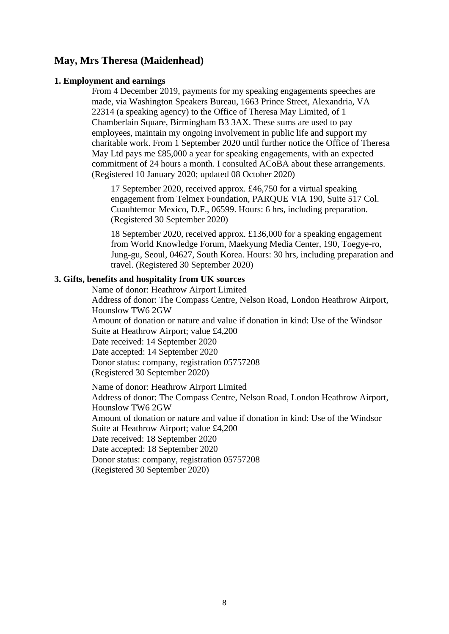# **May, Mrs Theresa (Maidenhead)**

#### **1. Employment and earnings**

From 4 December 2019, payments for my speaking engagements speeches are made, via Washington Speakers Bureau, 1663 Prince Street, Alexandria, VA 22314 (a speaking agency) to the Office of Theresa May Limited, of 1 Chamberlain Square, Birmingham B3 3AX. These sums are used to pay employees, maintain my ongoing involvement in public life and support my charitable work. From 1 September 2020 until further notice the Office of Theresa May Ltd pays me £85,000 a year for speaking engagements, with an expected commitment of 24 hours a month. I consulted ACoBA about these arrangements. (Registered 10 January 2020; updated 08 October 2020)

17 September 2020, received approx. £46,750 for a virtual speaking engagement from Telmex Foundation, PARQUE VIA 190, Suite 517 Col. Cuauhtemoc Mexico, D.F., 06599. Hours: 6 hrs, including preparation. (Registered 30 September 2020)

18 September 2020, received approx. £136,000 for a speaking engagement from World Knowledge Forum, Maekyung Media Center, 190, Toegye-ro, Jung-gu, Seoul, 04627, South Korea. Hours: 30 hrs, including preparation and travel. (Registered 30 September 2020)

### **3. Gifts, benefits and hospitality from UK sources**

Name of donor: Heathrow Airport Limited Address of donor: The Compass Centre, Nelson Road, London Heathrow Airport, Hounslow TW6 2GW Amount of donation or nature and value if donation in kind: Use of the Windsor Suite at Heathrow Airport; value £4,200 Date received: 14 September 2020 Date accepted: 14 September 2020 Donor status: company, registration 05757208 (Registered 30 September 2020)

Name of donor: Heathrow Airport Limited Address of donor: The Compass Centre, Nelson Road, London Heathrow Airport, Hounslow TW6 2GW Amount of donation or nature and value if donation in kind: Use of the Windsor Suite at Heathrow Airport; value £4,200 Date received: 18 September 2020 Date accepted: 18 September 2020 Donor status: company, registration 05757208 (Registered 30 September 2020)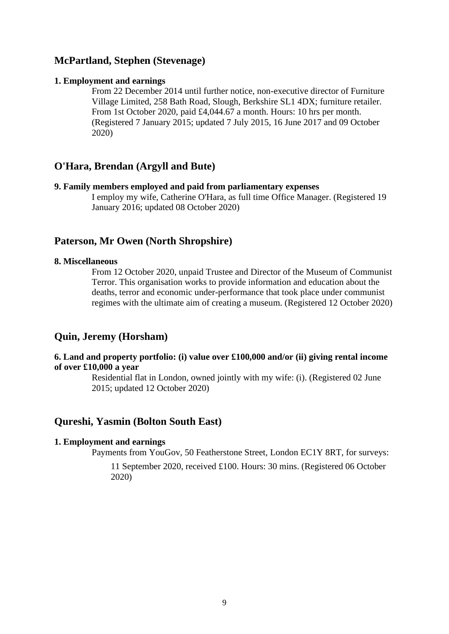# **McPartland, Stephen (Stevenage)**

#### **1. Employment and earnings**

From 22 December 2014 until further notice, non-executive director of Furniture Village Limited, 258 Bath Road, Slough, Berkshire SL1 4DX; furniture retailer. From 1st October 2020, paid £4,044.67 a month. Hours: 10 hrs per month. (Registered 7 January 2015; updated 7 July 2015, 16 June 2017 and 09 October 2020)

# **O'Hara, Brendan (Argyll and Bute)**

### **9. Family members employed and paid from parliamentary expenses**

I employ my wife, Catherine O'Hara, as full time Office Manager. (Registered 19 January 2016; updated 08 October 2020)

# **Paterson, Mr Owen (North Shropshire)**

### **8. Miscellaneous**

From 12 October 2020, unpaid Trustee and Director of the Museum of Communist Terror. This organisation works to provide information and education about the deaths, terror and economic under-performance that took place under communist regimes with the ultimate aim of creating a museum. (Registered 12 October 2020)

# **Quin, Jeremy (Horsham)**

### **6. Land and property portfolio: (i) value over £100,000 and/or (ii) giving rental income of over £10,000 a year**

Residential flat in London, owned jointly with my wife: (i). (Registered 02 June 2015; updated 12 October 2020)

### **Qureshi, Yasmin (Bolton South East)**

#### **1. Employment and earnings**

Payments from YouGov, 50 Featherstone Street, London EC1Y 8RT, for surveys:

11 September 2020, received £100. Hours: 30 mins. (Registered 06 October 2020)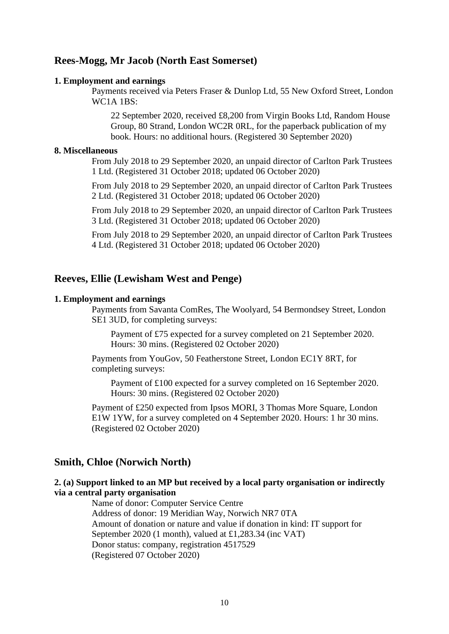# **Rees-Mogg, Mr Jacob (North East Somerset)**

#### **1. Employment and earnings**

Payments received via Peters Fraser & Dunlop Ltd, 55 New Oxford Street, London WC1A 1BS:

22 September 2020, received £8,200 from Virgin Books Ltd, Random House Group, 80 Strand, London WC2R 0RL, for the paperback publication of my book. Hours: no additional hours. (Registered 30 September 2020)

#### **8. Miscellaneous**

From July 2018 to 29 September 2020, an unpaid director of Carlton Park Trustees 1 Ltd. (Registered 31 October 2018; updated 06 October 2020)

From July 2018 to 29 September 2020, an unpaid director of Carlton Park Trustees 2 Ltd. (Registered 31 October 2018; updated 06 October 2020)

From July 2018 to 29 September 2020, an unpaid director of Carlton Park Trustees 3 Ltd. (Registered 31 October 2018; updated 06 October 2020)

From July 2018 to 29 September 2020, an unpaid director of Carlton Park Trustees 4 Ltd. (Registered 31 October 2018; updated 06 October 2020)

## **Reeves, Ellie (Lewisham West and Penge)**

#### **1. Employment and earnings**

Payments from Savanta ComRes, The Woolyard, 54 Bermondsey Street, London SE1 3UD, for completing surveys:

Payment of £75 expected for a survey completed on 21 September 2020. Hours: 30 mins. (Registered 02 October 2020)

Payments from YouGov, 50 Featherstone Street, London EC1Y 8RT, for completing surveys:

Payment of £100 expected for a survey completed on 16 September 2020. Hours: 30 mins. (Registered 02 October 2020)

Payment of £250 expected from Ipsos MORI, 3 Thomas More Square, London E1W 1YW, for a survey completed on 4 September 2020. Hours: 1 hr 30 mins. (Registered 02 October 2020)

### **Smith, Chloe (Norwich North)**

## **2. (a) Support linked to an MP but received by a local party organisation or indirectly via a central party organisation**

Name of donor: Computer Service Centre Address of donor: 19 Meridian Way, Norwich NR7 0TA Amount of donation or nature and value if donation in kind: IT support for September 2020 (1 month), valued at £1,283.34 (inc VAT) Donor status: company, registration 4517529 (Registered 07 October 2020)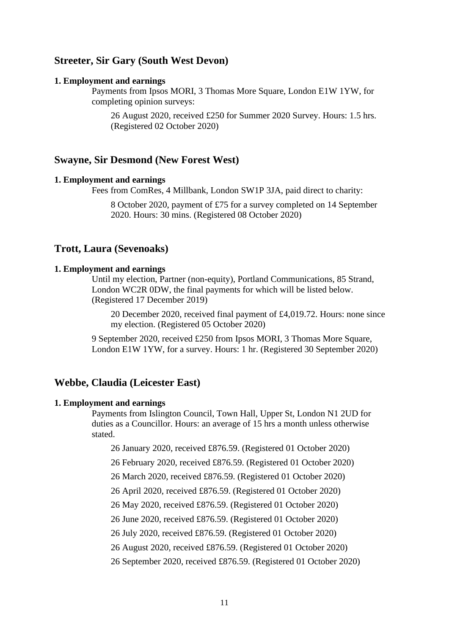# **Streeter, Sir Gary (South West Devon)**

#### **1. Employment and earnings**

Payments from Ipsos MORI, 3 Thomas More Square, London E1W 1YW, for completing opinion surveys:

26 August 2020, received £250 for Summer 2020 Survey. Hours: 1.5 hrs. (Registered 02 October 2020)

### **Swayne, Sir Desmond (New Forest West)**

#### **1. Employment and earnings**

Fees from ComRes, 4 Millbank, London SW1P 3JA, paid direct to charity:

8 October 2020, payment of £75 for a survey completed on 14 September 2020. Hours: 30 mins. (Registered 08 October 2020)

# **Trott, Laura (Sevenoaks)**

### **1. Employment and earnings**

Until my election, Partner (non-equity), Portland Communications, 85 Strand, London WC2R 0DW, the final payments for which will be listed below. (Registered 17 December 2019)

20 December 2020, received final payment of £4,019.72. Hours: none since my election. (Registered 05 October 2020)

9 September 2020, received £250 from Ipsos MORI, 3 Thomas More Square, London E1W 1YW, for a survey. Hours: 1 hr. (Registered 30 September 2020)

# **Webbe, Claudia (Leicester East)**

#### **1. Employment and earnings**

Payments from Islington Council, Town Hall, Upper St, London N1 2UD for duties as a Councillor. Hours: an average of 15 hrs a month unless otherwise stated.

26 January 2020, received £876.59. (Registered 01 October 2020)

26 February 2020, received £876.59. (Registered 01 October 2020)

26 March 2020, received £876.59. (Registered 01 October 2020)

26 April 2020, received £876.59. (Registered 01 October 2020)

26 May 2020, received £876.59. (Registered 01 October 2020)

26 June 2020, received £876.59. (Registered 01 October 2020)

26 July 2020, received £876.59. (Registered 01 October 2020)

26 August 2020, received £876.59. (Registered 01 October 2020)

26 September 2020, received £876.59. (Registered 01 October 2020)